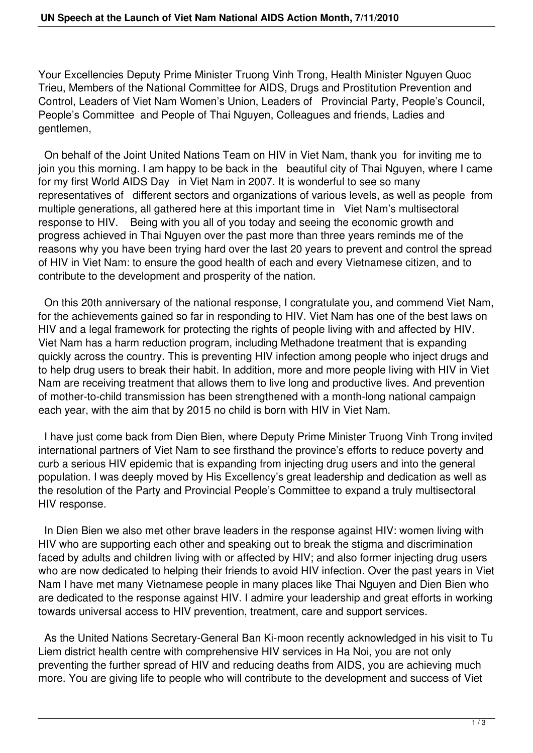Your Excellencies Deputy Prime Minister Truong Vinh Trong, Health Minister Nguyen Quoc Trieu, Members of the National Committee for AIDS, Drugs and Prostitution Prevention and Control, Leaders of Viet Nam Women's Union, Leaders of Provincial Party, People's Council, People's Committee and People of Thai Nguyen, Colleagues and friends, Ladies and gentlemen,

 On behalf of the Joint United Nations Team on HIV in Viet Nam, thank you for inviting me to join you this morning. I am happy to be back in the beautiful city of Thai Nguyen, where I came for my first World AIDS Day in Viet Nam in 2007. It is wonderful to see so many representatives of different sectors and organizations of various levels, as well as people from multiple generations, all gathered here at this important time in Viet Nam's multisectoral response to HIV. Being with you all of you today and seeing the economic growth and progress achieved in Thai Nguyen over the past more than three years reminds me of the reasons why you have been trying hard over the last 20 years to prevent and control the spread of HIV in Viet Nam: to ensure the good health of each and every Vietnamese citizen, and to contribute to the development and prosperity of the nation.

 On this 20th anniversary of the national response, I congratulate you, and commend Viet Nam, for the achievements gained so far in responding to HIV. Viet Nam has one of the best laws on HIV and a legal framework for protecting the rights of people living with and affected by HIV. Viet Nam has a harm reduction program, including Methadone treatment that is expanding quickly across the country. This is preventing HIV infection among people who inject drugs and to help drug users to break their habit. In addition, more and more people living with HIV in Viet Nam are receiving treatment that allows them to live long and productive lives. And prevention of mother-to-child transmission has been strengthened with a month-long national campaign each year, with the aim that by 2015 no child is born with HIV in Viet Nam.

 I have just come back from Dien Bien, where Deputy Prime Minister Truong Vinh Trong invited international partners of Viet Nam to see firsthand the province's efforts to reduce poverty and curb a serious HIV epidemic that is expanding from injecting drug users and into the general population. I was deeply moved by His Excellency's great leadership and dedication as well as the resolution of the Party and Provincial People's Committee to expand a truly multisectoral HIV response.

 In Dien Bien we also met other brave leaders in the response against HIV: women living with HIV who are supporting each other and speaking out to break the stigma and discrimination faced by adults and children living with or affected by HIV; and also former injecting drug users who are now dedicated to helping their friends to avoid HIV infection. Over the past years in Viet Nam I have met many Vietnamese people in many places like Thai Nguyen and Dien Bien who are dedicated to the response against HIV. I admire your leadership and great efforts in working towards universal access to HIV prevention, treatment, care and support services.

 As the United Nations Secretary-General Ban Ki-moon recently acknowledged in his visit to Tu Liem district health centre with comprehensive HIV services in Ha Noi, you are not only preventing the further spread of HIV and reducing deaths from AIDS, you are achieving much more. You are giving life to people who will contribute to the development and success of Viet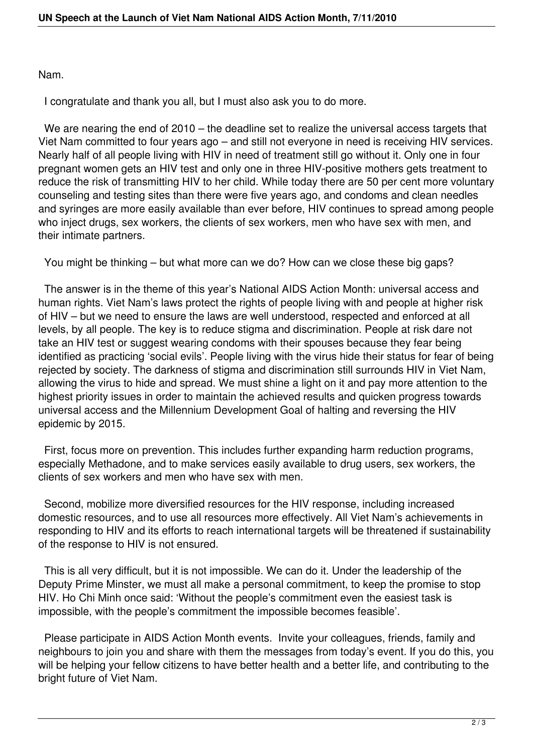Nam.

I congratulate and thank you all, but I must also ask you to do more.

We are nearing the end of 2010 – the deadline set to realize the universal access targets that Viet Nam committed to four years ago – and still not everyone in need is receiving HIV services. Nearly half of all people living with HIV in need of treatment still go without it. Only one in four pregnant women gets an HIV test and only one in three HIV-positive mothers gets treatment to reduce the risk of transmitting HIV to her child. While today there are 50 per cent more voluntary counseling and testing sites than there were five years ago, and condoms and clean needles and syringes are more easily available than ever before, HIV continues to spread among people who inject drugs, sex workers, the clients of sex workers, men who have sex with men, and their intimate partners.

You might be thinking – but what more can we do? How can we close these big gaps?

 The answer is in the theme of this year's National AIDS Action Month: universal access and human rights. Viet Nam's laws protect the rights of people living with and people at higher risk of HIV – but we need to ensure the laws are well understood, respected and enforced at all levels, by all people. The key is to reduce stigma and discrimination. People at risk dare not take an HIV test or suggest wearing condoms with their spouses because they fear being identified as practicing 'social evils'. People living with the virus hide their status for fear of being rejected by society. The darkness of stigma and discrimination still surrounds HIV in Viet Nam, allowing the virus to hide and spread. We must shine a light on it and pay more attention to the highest priority issues in order to maintain the achieved results and quicken progress towards universal access and the Millennium Development Goal of halting and reversing the HIV epidemic by 2015.

 First, focus more on prevention. This includes further expanding harm reduction programs, especially Methadone, and to make services easily available to drug users, sex workers, the clients of sex workers and men who have sex with men.

 Second, mobilize more diversified resources for the HIV response, including increased domestic resources, and to use all resources more effectively. All Viet Nam's achievements in responding to HIV and its efforts to reach international targets will be threatened if sustainability of the response to HIV is not ensured.

 This is all very difficult, but it is not impossible. We can do it. Under the leadership of the Deputy Prime Minster, we must all make a personal commitment, to keep the promise to stop HIV. Ho Chi Minh once said: 'Without the people's commitment even the easiest task is impossible, with the people's commitment the impossible becomes feasible'.

 Please participate in AIDS Action Month events. Invite your colleagues, friends, family and neighbours to join you and share with them the messages from today's event. If you do this, you will be helping your fellow citizens to have better health and a better life, and contributing to the bright future of Viet Nam.